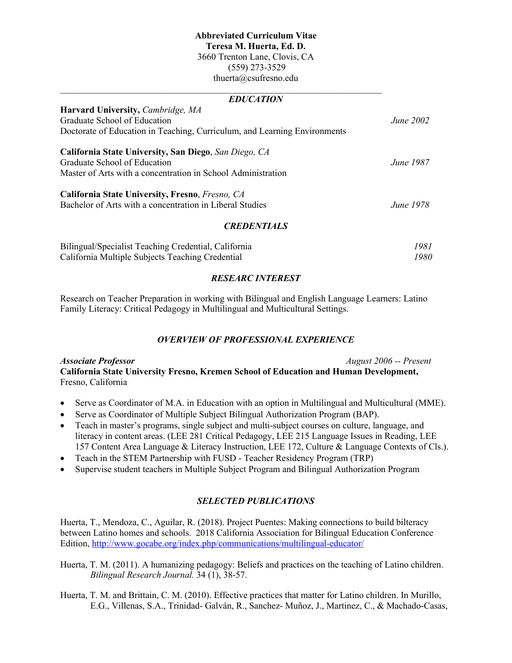# **Abbreviated Curriculum Vitae Teresa M. Huerta, Ed. D.** 3660 Trenton Lane, Clovis, CA (559) 273-3529 thuerta@csufresno.edu

### *EDUCATION*

 $\mathcal{L}_\text{max}$  , and the contribution of the contribution of the contribution of the contribution of the contribution of the contribution of the contribution of the contribution of the contribution of the contribution of t

| <b>Harvard University, Cambridge, MA</b>                                  |                  |
|---------------------------------------------------------------------------|------------------|
| Graduate School of Education                                              | <i>June</i> 2002 |
| Doctorate of Education in Teaching, Curriculum, and Learning Environments |                  |
| California State University, San Diego, San Diego, CA                     |                  |
| Graduate School of Education                                              | <i>June</i> 1987 |
| Master of Arts with a concentration in School Administration              |                  |
| California State University, Fresno, Fresno, CA                           |                  |
| Bachelor of Arts with a concentration in Liberal Studies                  | <i>June</i> 1978 |
| <b>CREDENTIALS</b>                                                        |                  |

| Bilingual/Specialist Teaching Credential, California | 1981. |
|------------------------------------------------------|-------|
| California Multiple Subjects Teaching Credential     | 1980  |

# *RESEARC INTEREST*

Research on Teacher Preparation in working with Bilingual and English Language Learners: Latino Family Literacy: Critical Pedagogy in Multilingual and Multicultural Settings.

# *OVERVIEW OF PROFESSIONAL EXPERIENCE*

*Associate Professor August 2006 -- Present* **California State University Fresno, Kremen School of Education and Human Development,**  Fresno, California

- Serve as Coordinator of M.A. in Education with an option in Multilingual and Multicultural (MME).
- Serve as Coordinator of Multiple Subject Bilingual Authorization Program (BAP).
- Teach in master's programs, single subject and multi-subject courses on culture, language, and literacy in content areas. (LEE 281 Critical Pedagogy, LEE 215 Language Issues in Reading, LEE 157 Content Area Language & Literacy Instruction, LEE 172, Culture & Language Contexts of Cls.).
- Teach in the STEM Partnership with FUSD Teacher Residency Program (TRP)
- Supervise student teachers in Multiple Subject Program and Bilingual Authorization Program

# *SELECTED PUBLICATIONS*

Huerta, T., Mendoza, C., Aguilar, R. (2018). Project Puentes: Making connections to build bilteracy between Latino homes and schools. 2018 California Association for Bilingual Education Conference Edition,<http://www.gocabe.org/index.php/communications/multilingual-educator/>

- Huerta, T. M. (2011). A humanizing pedagogy: Beliefs and practices on the teaching of Latino children. *Bilingual Research Journal.* 34 (1), 38-57.
- Huerta, T. M. and Brittain, C. M. (2010). Effective practices that matter for Latino children. In Murillo, E.G., Villenas, S.A., Trinidad- Galván, R., Sanchez- Muñoz, J., Martinez, C., & Machado-Casas,